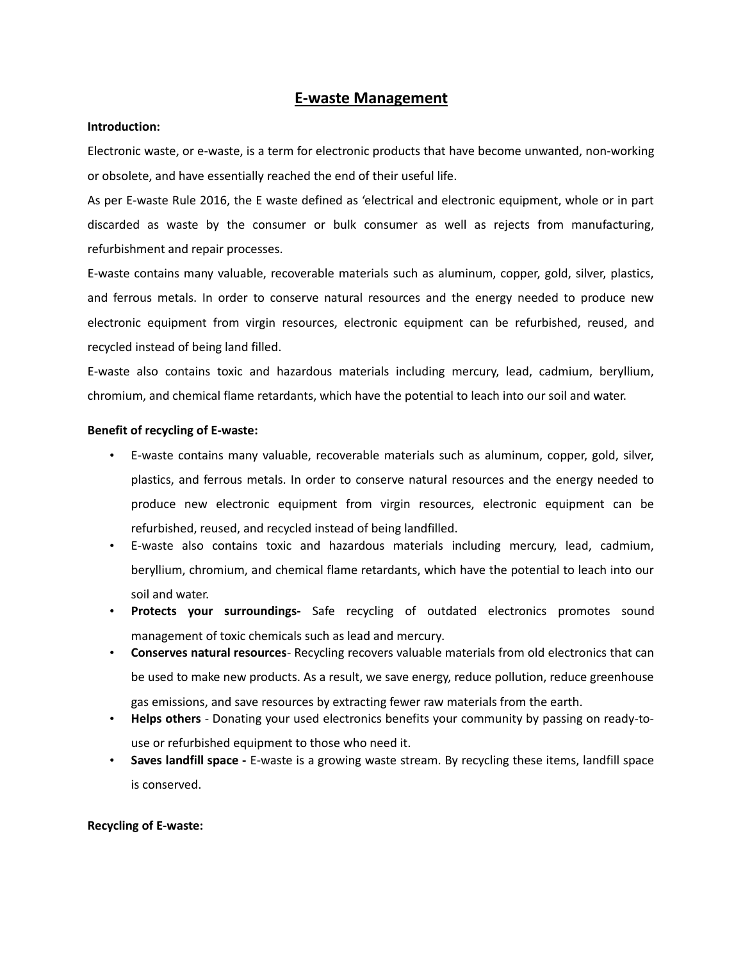## **E-waste Management**

### **Introduction:**

Electronic waste, or e-waste, is a term for electronic products that have become unwanted, non-working or obsolete, and have essentially reached the end of their useful life.

As per E-waste Rule 2016, the E waste defined as 'electrical and electronic equipment, whole or in part discarded as waste by the consumer or bulk consumer as well as rejects from manufacturing, refurbishment and repair processes.

E-waste contains many valuable, recoverable materials such as aluminum, copper, gold, silver, plastics, and ferrous metals. In order to conserve natural resources and the energy needed to produce new electronic equipment from virgin resources, electronic equipment can be refurbished, reused, and recycled instead of being land filled.

E-waste also contains toxic and hazardous materials including mercury, lead, cadmium, beryllium, chromium, and chemical flame retardants, which have the potential to leach into our soil and water.

### **Benefit of recycling of E-waste:**

- E-waste contains many valuable, recoverable materials such as aluminum, copper, gold, silver, plastics, and ferrous metals. In order to conserve natural resources and the energy needed to produce new electronic equipment from virgin resources, electronic equipment can be refurbished, reused, and recycled instead of being landfilled.
- E-waste also contains toxic and hazardous materials including mercury, lead, cadmium, beryllium, chromium, and chemical flame retardants, which have the potential to leach into our soil and water.
- **Protects your surroundings-** Safe recycling of outdated electronics promotes sound management of toxic chemicals such as lead and mercury.
- **Conserves natural resources** Recycling recovers valuable materials from old electronics that can be used to make new products. As a result, we save energy, reduce pollution, reduce greenhouse gas emissions, and save resources by extracting fewer raw materials from the earth.
- **Helps others** Donating your used electronics benefits your community by passing on ready-touse or refurbished equipment to those who need it.
- **Saves landfill space** E-waste is a growing waste stream. By recycling these items, landfill space is conserved.

### **Recycling of E-waste:**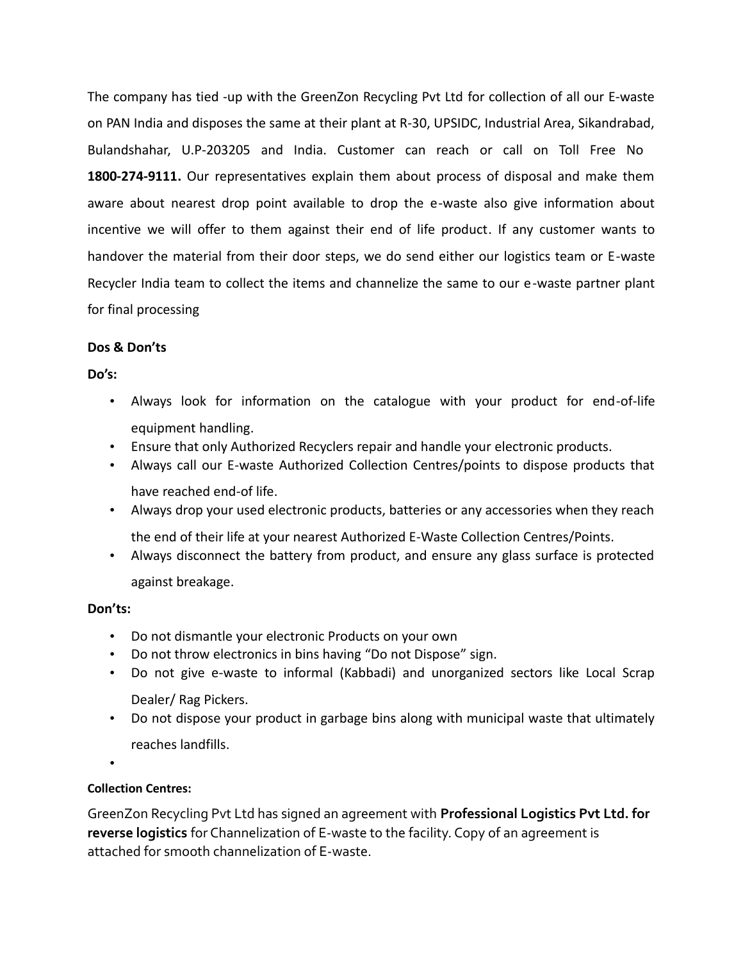The company has tied -up with the GreenZon Recycling Pvt Ltd for collection of all our E-waste on PAN India and disposes the same at their plant at R-30, UPSIDC, Industrial Area, Sikandrabad, Bulandshahar, U.P-203205 and India. Customer can reach or call on Toll Free No **1800-274-9111.** Our representatives explain them about process of disposal and make them aware about nearest drop point available to drop the e-waste also give information about incentive we will offer to them against their end of life product. If any customer wants to handover the material from their door steps, we do send either our logistics team or E-waste Recycler India team to collect the items and channelize the same to our e-waste partner plant for final processing

## **Dos & Don'ts**

**Do's:**

- Always look for information on the catalogue with your product for end-of-life equipment handling.
- Ensure that only Authorized Recyclers repair and handle your electronic products.
- Always call our E-waste Authorized Collection Centres/points to dispose products that have reached end-of life.
- Always drop your used electronic products, batteries or any accessories when they reach the end of their life at your nearest Authorized E-Waste Collection Centres/Points.
- Always disconnect the battery from product, and ensure any glass surface is protected

against breakage.

## **Don'ts:**

- Do not dismantle your electronic Products on your own
- Do not throw electronics in bins having "Do not Dispose" sign.
- Do not give e-waste to informal (Kabbadi) and unorganized sectors like Local Scrap Dealer/ Rag Pickers.
- Do not dispose your product in garbage bins along with municipal waste that ultimately reaches landfills.

•

# **Collection Centres:**

GreenZon Recycling Pvt Ltd has signed an agreement with **Professional Logistics Pvt Ltd. for reverse logistics** for Channelization of E-waste to the facility. Copy of an agreement is attached for smooth channelization of E-waste.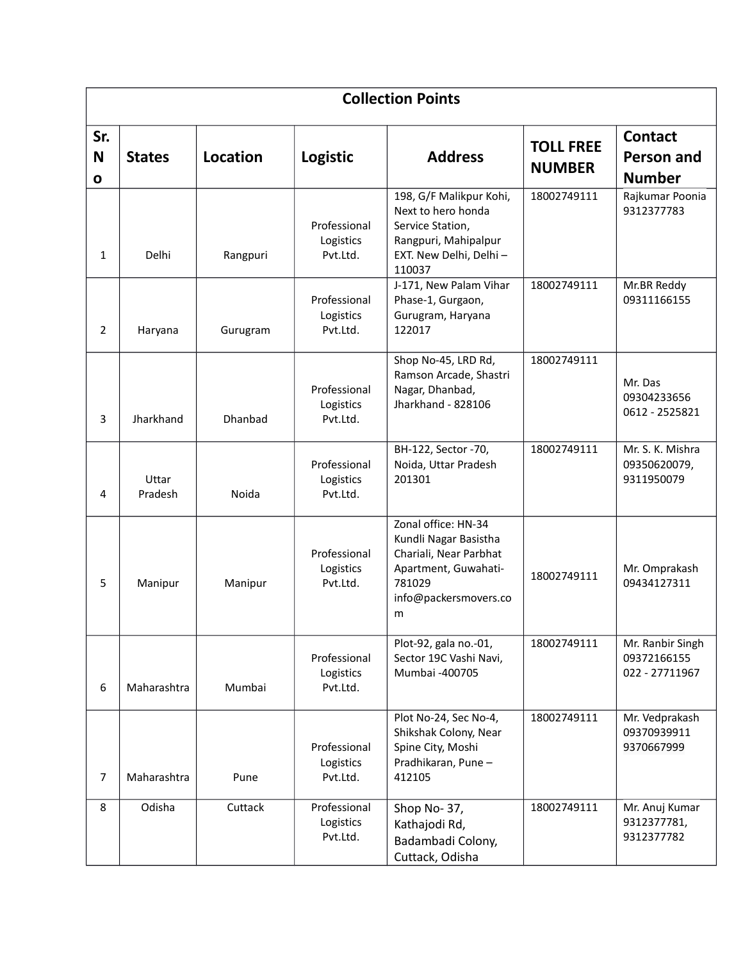| <b>Collection Points</b> |                  |          |                                       |                                                                                                                                        |                                   |                                                   |
|--------------------------|------------------|----------|---------------------------------------|----------------------------------------------------------------------------------------------------------------------------------------|-----------------------------------|---------------------------------------------------|
| Sr.<br>N<br>0            | <b>States</b>    | Location | Logistic                              | <b>Address</b>                                                                                                                         | <b>TOLL FREE</b><br><b>NUMBER</b> | <b>Contact</b><br>Person and<br><b>Number</b>     |
| 1                        | Delhi            | Rangpuri | Professional<br>Logistics<br>Pvt.Ltd. | 198, G/F Malikpur Kohi,<br>Next to hero honda<br>Service Station,<br>Rangpuri, Mahipalpur<br>EXT. New Delhi, Delhi-<br>110037          | 18002749111                       | Rajkumar Poonia<br>9312377783                     |
| 2                        | Haryana          | Gurugram | Professional<br>Logistics<br>Pvt.Ltd. | J-171, New Palam Vihar<br>Phase-1, Gurgaon,<br>Gurugram, Haryana<br>122017                                                             | 18002749111                       | Mr.BR Reddy<br>09311166155                        |
| 3                        | Jharkhand        | Dhanbad  | Professional<br>Logistics<br>Pvt.Ltd. | Shop No-45, LRD Rd,<br>Ramson Arcade, Shastri<br>Nagar, Dhanbad,<br>Jharkhand - 828106                                                 | 18002749111                       | Mr. Das<br>09304233656<br>0612 - 2525821          |
| 4                        | Uttar<br>Pradesh | Noida    | Professional<br>Logistics<br>Pvt.Ltd. | BH-122, Sector -70,<br>Noida, Uttar Pradesh<br>201301                                                                                  | 18002749111                       | Mr. S. K. Mishra<br>09350620079,<br>9311950079    |
| 5                        | Manipur          | Manipur  | Professional<br>Logistics<br>Pvt.Ltd. | Zonal office: HN-34<br>Kundli Nagar Basistha<br>Chariali, Near Parbhat<br>Apartment, Guwahati-<br>781029<br>info@packersmovers.co<br>m | 18002749111                       | Mr. Omprakash<br>09434127311                      |
| 6                        | Maharashtra      | Mumbai   | Professional<br>Logistics<br>Pvt.Ltd. | Plot-92, gala no.-01,<br>Sector 19C Vashi Navi,<br>Mumbai -400705                                                                      | 18002749111                       | Mr. Ranbir Singh<br>09372166155<br>022 - 27711967 |
| 7                        | Maharashtra      | Pune     | Professional<br>Logistics<br>Pvt.Ltd. | Plot No-24, Sec No-4,<br>Shikshak Colony, Near<br>Spine City, Moshi<br>Pradhikaran, Pune-<br>412105                                    | 18002749111                       | Mr. Vedprakash<br>09370939911<br>9370667999       |
| 8                        | Odisha           | Cuttack  | Professional<br>Logistics<br>Pvt.Ltd. | Shop No-37,<br>Kathajodi Rd,<br>Badambadi Colony,<br>Cuttack, Odisha                                                                   | 18002749111                       | Mr. Anuj Kumar<br>9312377781,<br>9312377782       |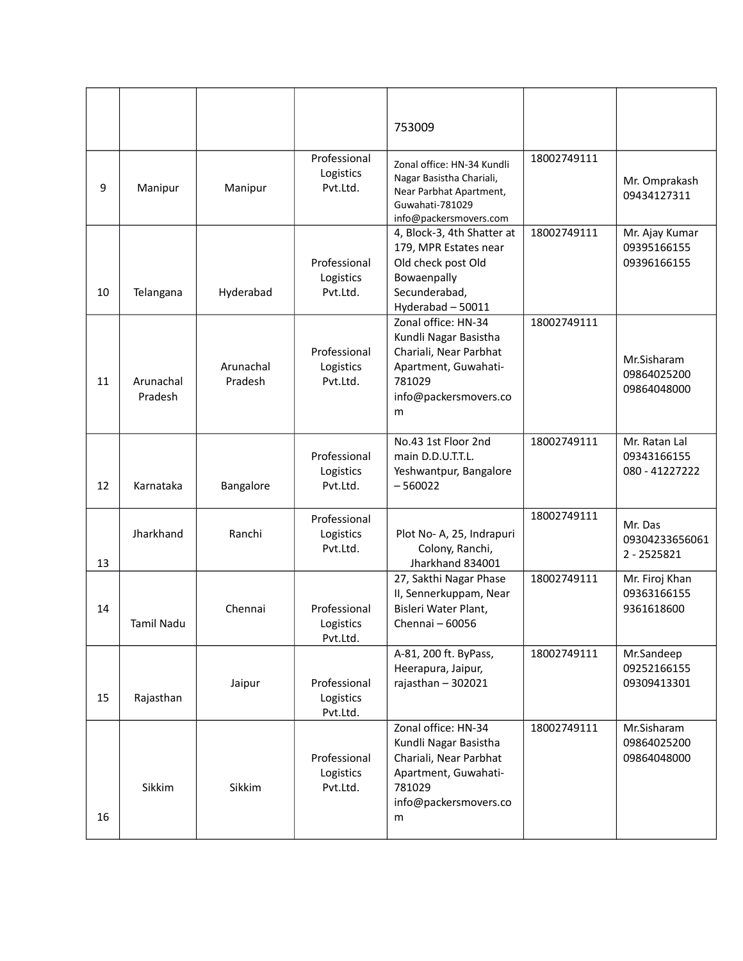|    |                      |                      |                                       | 753009                                                                                                                                 |             |                                                |
|----|----------------------|----------------------|---------------------------------------|----------------------------------------------------------------------------------------------------------------------------------------|-------------|------------------------------------------------|
| 9  | Manipur              | Manipur              | Professional<br>Logistics<br>Pvt.Ltd. | Zonal office: HN-34 Kundli<br>Nagar Basistha Chariali,<br>Near Parbhat Apartment,<br>Guwahati-781029<br>info@packersmovers.com         | 18002749111 | Mr. Omprakash<br>09434127311                   |
| 10 | Telangana            | Hyderabad            | Professional<br>Logistics<br>Pvt.Ltd. | 4, Block-3, 4th Shatter at<br>179, MPR Estates near<br>Old check post Old<br>Bowaenpally<br>Secunderabad,<br>Hyderabad - 50011         | 18002749111 | Mr. Ajay Kumar<br>09395166155<br>09396166155   |
| 11 | Arunachal<br>Pradesh | Arunachal<br>Pradesh | Professional<br>Logistics<br>Pvt.Ltd. | Zonal office: HN-34<br>Kundli Nagar Basistha<br>Chariali, Near Parbhat<br>Apartment, Guwahati-<br>781029<br>info@packersmovers.co<br>m | 18002749111 | Mr.Sisharam<br>09864025200<br>09864048000      |
| 12 | Karnataka            | Bangalore            | Professional<br>Logistics<br>Pvt.Ltd. | No.43 1st Floor 2nd<br>main D.D.U.T.T.L.<br>Yeshwantpur, Bangalore<br>$-560022$                                                        | 18002749111 | Mr. Ratan Lal<br>09343166155<br>080 - 41227222 |
| 13 | Jharkhand            | Ranchi               | Professional<br>Logistics<br>Pvt.Ltd. | Plot No- A, 25, Indrapuri<br>Colony, Ranchi,<br>Jharkhand 834001                                                                       | 18002749111 | Mr. Das<br>09304233656061<br>2 - 2525821       |
| 14 | Tamil Nadu           | Chennai              | Professional<br>Logistics<br>Pvt.Ltd. | 27, Sakthi Nagar Phase<br>II, Sennerkuppam, Near<br>Bisleri Water Plant,<br>Chennai - 60056                                            | 18002749111 | Mr. Firoj Khan<br>09363166155<br>9361618600    |
| 15 | Rajasthan            | Jaipur               | Professional<br>Logistics<br>Pvt.Ltd. | A-81, 200 ft. ByPass,<br>Heerapura, Jaipur,<br>rajasthan - 302021                                                                      | 18002749111 | Mr.Sandeep<br>09252166155<br>09309413301       |
| 16 | Sikkim               | Sikkim               | Professional<br>Logistics<br>Pvt.Ltd. | Zonal office: HN-34<br>Kundli Nagar Basistha<br>Chariali, Near Parbhat<br>Apartment, Guwahati-<br>781029<br>info@packersmovers.co<br>m | 18002749111 | Mr.Sisharam<br>09864025200<br>09864048000      |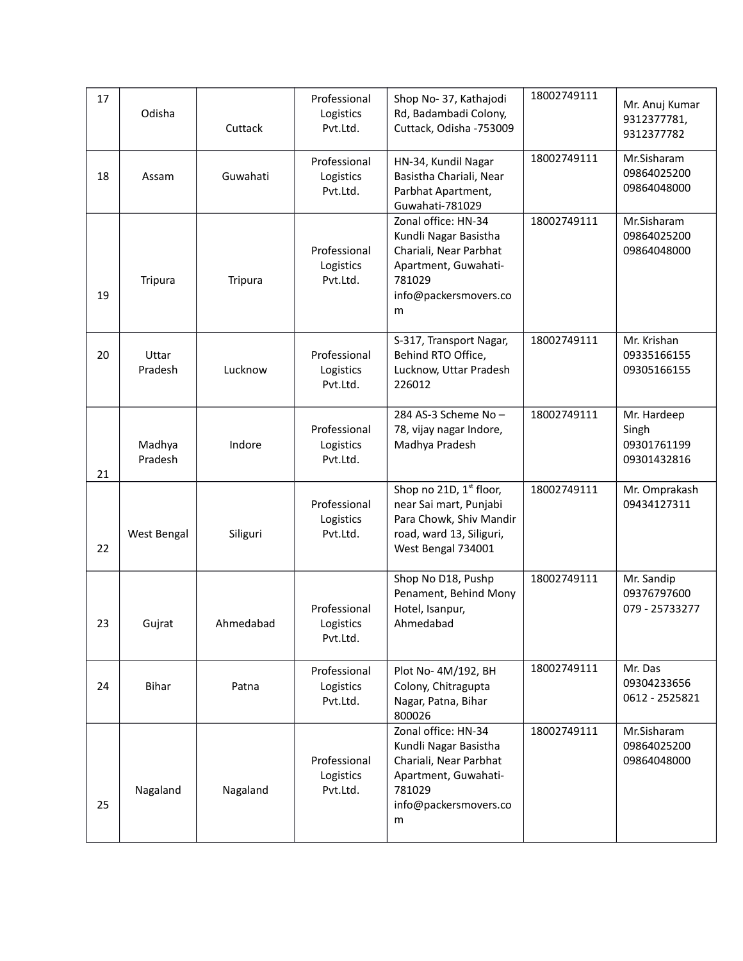| 17 | Odisha            | Cuttack   | Professional<br>Logistics<br>Pvt.Ltd. | Shop No-37, Kathajodi<br>Rd, Badambadi Colony,<br>Cuttack, Odisha -753009                                                                  | 18002749111 | Mr. Anuj Kumar<br>9312377781,<br>9312377782        |
|----|-------------------|-----------|---------------------------------------|--------------------------------------------------------------------------------------------------------------------------------------------|-------------|----------------------------------------------------|
| 18 | Assam             | Guwahati  | Professional<br>Logistics<br>Pvt.Ltd. | HN-34, Kundil Nagar<br>Basistha Chariali, Near<br>Parbhat Apartment,<br>Guwahati-781029                                                    | 18002749111 | Mr.Sisharam<br>09864025200<br>09864048000          |
| 19 | Tripura           | Tripura   | Professional<br>Logistics<br>Pvt.Ltd. | Zonal office: HN-34<br>Kundli Nagar Basistha<br>Chariali, Near Parbhat<br>Apartment, Guwahati-<br>781029<br>info@packersmovers.co<br>m     | 18002749111 | Mr.Sisharam<br>09864025200<br>09864048000          |
| 20 | Uttar<br>Pradesh  | Lucknow   | Professional<br>Logistics<br>Pvt.Ltd. | S-317, Transport Nagar,<br>Behind RTO Office,<br>Lucknow, Uttar Pradesh<br>226012                                                          | 18002749111 | Mr. Krishan<br>09335166155<br>09305166155          |
| 21 | Madhya<br>Pradesh | Indore    | Professional<br>Logistics<br>Pvt.Ltd. | 284 AS-3 Scheme No-<br>78, vijay nagar Indore,<br>Madhya Pradesh                                                                           | 18002749111 | Mr. Hardeep<br>Singh<br>09301761199<br>09301432816 |
| 22 | West Bengal       | Siliguri  | Professional<br>Logistics<br>Pvt.Ltd. | Shop no 21D, 1 <sup>st</sup> floor,<br>near Sai mart, Punjabi<br>Para Chowk, Shiv Mandir<br>road, ward 13, Siliguri,<br>West Bengal 734001 | 18002749111 | Mr. Omprakash<br>09434127311                       |
| 23 | Gujrat            | Ahmedabad | Professional<br>Logistics<br>Pvt.Ltd. | Shop No D18, Pushp<br>Penament, Behind Mony<br>Hotel, Isanpur,<br>Ahmedabad                                                                | 18002749111 | Mr. Sandip<br>09376797600<br>079 - 25733277        |
| 24 | <b>Bihar</b>      | Patna     | Professional<br>Logistics<br>Pvt.Ltd. | Plot No-4M/192, BH<br>Colony, Chitragupta<br>Nagar, Patna, Bihar<br>800026                                                                 | 18002749111 | Mr. Das<br>09304233656<br>0612 - 2525821           |
| 25 | Nagaland          | Nagaland  | Professional<br>Logistics<br>Pvt.Ltd. | Zonal office: HN-34<br>Kundli Nagar Basistha<br>Chariali, Near Parbhat<br>Apartment, Guwahati-<br>781029<br>info@packersmovers.co<br>m     | 18002749111 | Mr.Sisharam<br>09864025200<br>09864048000          |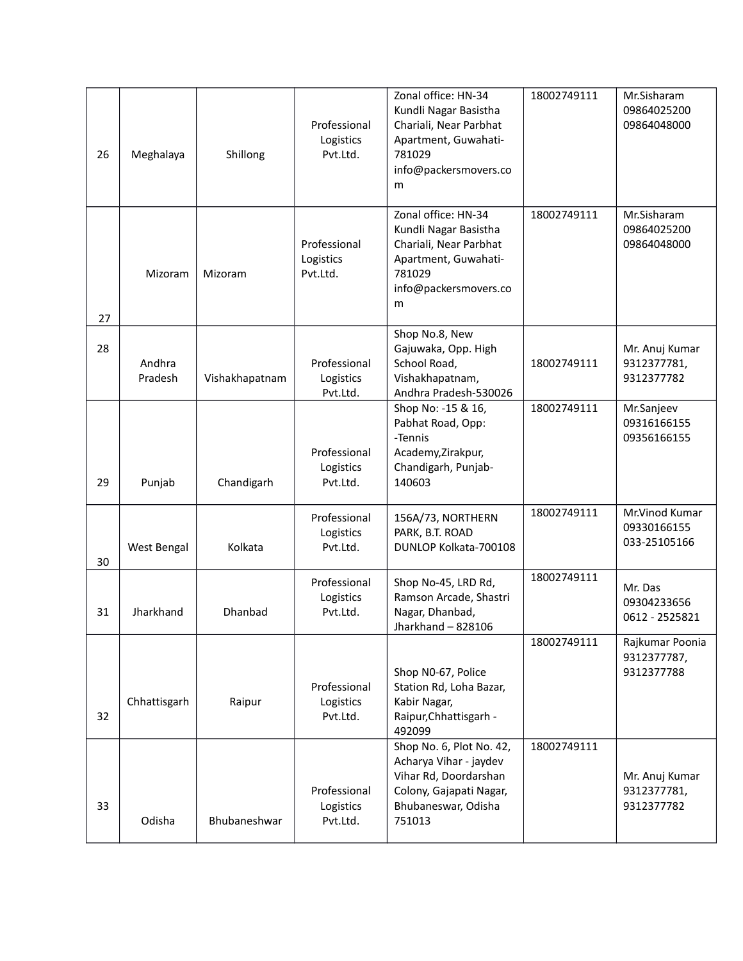| 26 | Meghalaya         | Shillong       | Professional<br>Logistics<br>Pvt.Ltd. | Zonal office: HN-34<br>Kundli Nagar Basistha<br>Chariali, Near Parbhat<br>Apartment, Guwahati-<br>781029<br>info@packersmovers.co<br>m  | 18002749111 | Mr.Sisharam<br>09864025200<br>09864048000     |
|----|-------------------|----------------|---------------------------------------|-----------------------------------------------------------------------------------------------------------------------------------------|-------------|-----------------------------------------------|
| 27 | Mizoram           | Mizoram        | Professional<br>Logistics<br>Pvt.Ltd. | Zonal office: HN-34<br>Kundli Nagar Basistha<br>Chariali, Near Parbhat<br>Apartment, Guwahati-<br>781029<br>info@packersmovers.co<br>m  | 18002749111 | Mr.Sisharam<br>09864025200<br>09864048000     |
| 28 | Andhra<br>Pradesh | Vishakhapatnam | Professional<br>Logistics<br>Pvt.Ltd. | Shop No.8, New<br>Gajuwaka, Opp. High<br>School Road,<br>Vishakhapatnam,<br>Andhra Pradesh-530026                                       | 18002749111 | Mr. Anuj Kumar<br>9312377781,<br>9312377782   |
| 29 | Punjab            | Chandigarh     | Professional<br>Logistics<br>Pvt.Ltd. | Shop No: -15 & 16,<br>Pabhat Road, Opp:<br>-Tennis<br>Academy, Zirakpur,<br>Chandigarh, Punjab-<br>140603                               | 18002749111 | Mr.Sanjeev<br>09316166155<br>09356166155      |
| 30 | West Bengal       | Kolkata        | Professional<br>Logistics<br>Pvt.Ltd. | 156A/73, NORTHERN<br>PARK, B.T. ROAD<br>DUNLOP Kolkata-700108                                                                           | 18002749111 | Mr.Vinod Kumar<br>09330166155<br>033-25105166 |
| 31 | Jharkhand         | Dhanbad        | Professional<br>Logistics<br>Pvt.Ltd. | Shop No-45, LRD Rd,<br>Ramson Arcade, Shastri<br>Nagar, Dhanbad,<br>Jharkhand - 828106                                                  | 18002749111 | Mr. Das<br>09304233656<br>0612 - 2525821      |
| 32 | Chhattisgarh      | Raipur         | Professional<br>Logistics<br>Pvt.Ltd. | Shop N0-67, Police<br>Station Rd, Loha Bazar,<br>Kabir Nagar,<br>Raipur, Chhattisgarh -<br>492099                                       | 18002749111 | Rajkumar Poonia<br>9312377787,<br>9312377788  |
| 33 | Odisha            | Bhubaneshwar   | Professional<br>Logistics<br>Pvt.Ltd. | Shop No. 6, Plot No. 42,<br>Acharya Vihar - jaydev<br>Vihar Rd, Doordarshan<br>Colony, Gajapati Nagar,<br>Bhubaneswar, Odisha<br>751013 | 18002749111 | Mr. Anuj Kumar<br>9312377781,<br>9312377782   |